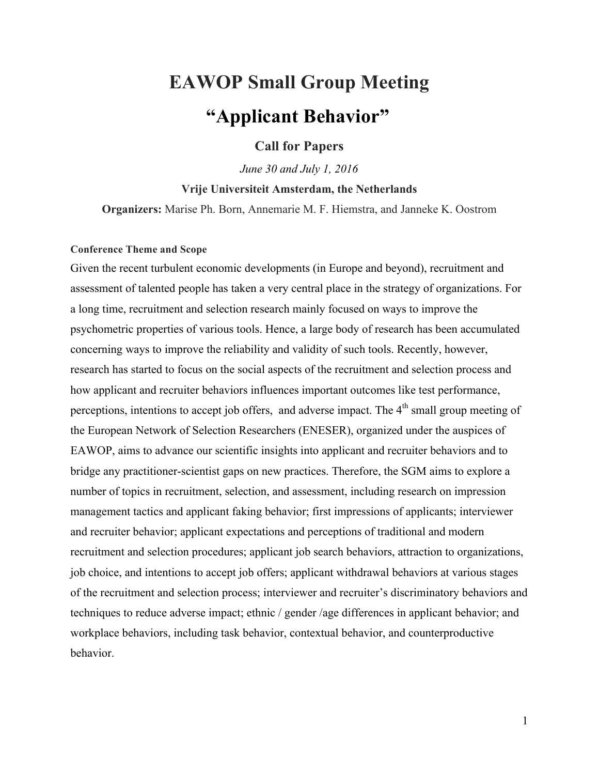# **EAWOP Small Group Meeting "Applicant Behavior"**

## **Call for Papers**

*June 30 and July 1, 2016*

**Vrije Universiteit Amsterdam, the Netherlands** 

**Organizers:** Marise Ph. Born, Annemarie M. F. Hiemstra, and Janneke K. Oostrom

#### **Conference Theme and Scope**

Given the recent turbulent economic developments (in Europe and beyond), recruitment and assessment of talented people has taken a very central place in the strategy of organizations. For a long time, recruitment and selection research mainly focused on ways to improve the psychometric properties of various tools. Hence, a large body of research has been accumulated concerning ways to improve the reliability and validity of such tools. Recently, however, research has started to focus on the social aspects of the recruitment and selection process and how applicant and recruiter behaviors influences important outcomes like test performance, perceptions, intentions to accept job offers, and adverse impact. The 4<sup>th</sup> small group meeting of the European Network of Selection Researchers (ENESER), organized under the auspices of EAWOP, aims to advance our scientific insights into applicant and recruiter behaviors and to bridge any practitioner-scientist gaps on new practices. Therefore, the SGM aims to explore a number of topics in recruitment, selection, and assessment, including research on impression management tactics and applicant faking behavior; first impressions of applicants; interviewer and recruiter behavior; applicant expectations and perceptions of traditional and modern recruitment and selection procedures; applicant job search behaviors, attraction to organizations, job choice, and intentions to accept job offers; applicant withdrawal behaviors at various stages of the recruitment and selection process; interviewer and recruiter's discriminatory behaviors and techniques to reduce adverse impact; ethnic / gender /age differences in applicant behavior; and workplace behaviors, including task behavior, contextual behavior, and counterproductive behavior.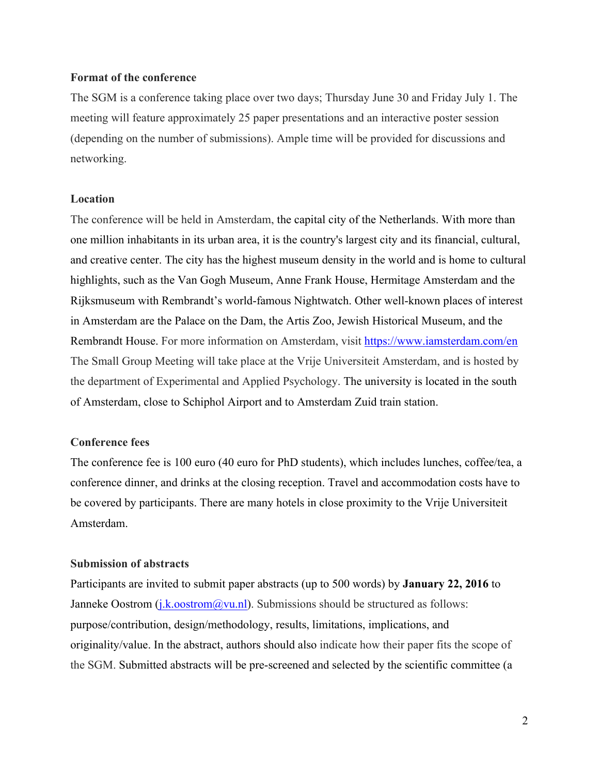#### **Format of the conference**

The SGM is a conference taking place over two days; Thursday June 30 and Friday July 1. The meeting will feature approximately 25 paper presentations and an interactive poster session (depending on the number of submissions). Ample time will be provided for discussions and networking.

#### **Location**

The conference will be held in Amsterdam, the capital city of the Netherlands. With more than one million inhabitants in its urban area, it is the country's largest city and its financial, cultural, and creative center. The city has the highest museum density in the world and is home to cultural highlights, such as the Van Gogh Museum, Anne Frank House, Hermitage Amsterdam and the Rijksmuseum with Rembrandt's world-famous Nightwatch. Other well-known places of interest in Amsterdam are the Palace on the Dam, the Artis Zoo, Jewish Historical Museum, and the Rembrandt House. For more information on Amsterdam, visit https://www.iamsterdam.com/en The Small Group Meeting will take place at the Vrije Universiteit Amsterdam, and is hosted by the department of Experimental and Applied Psychology. The university is located in the south of Amsterdam, close to Schiphol Airport and to Amsterdam Zuid train station.

#### **Conference fees**

The conference fee is 100 euro (40 euro for PhD students), which includes lunches, coffee/tea, a conference dinner, and drinks at the closing reception. Travel and accommodation costs have to be covered by participants. There are many hotels in close proximity to the Vrije Universiteit Amsterdam.

#### **Submission of abstracts**

Participants are invited to submit paper abstracts (up to 500 words) by **January 22, 2016** to Janneke Oostrom  $(i.k.$ oostrom $@vu.n]$ . Submissions should be structured as follows: purpose/contribution, design/methodology, results, limitations, implications, and originality/value. In the abstract, authors should also indicate how their paper fits the scope of the SGM. Submitted abstracts will be pre-screened and selected by the scientific committee (a